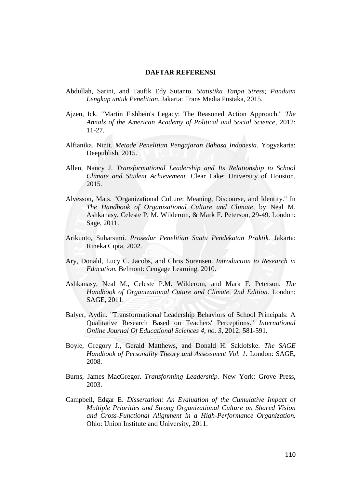## **DAFTAR REFERENSI**

- Abdullah, Sarini, and Taufik Edy Sutanto. *Statistika Tanpa Stress; Panduan Lengkap untuk Penelitian.* Jakarta: Trans Media Pustaka, 2015.
- Ajzen, Ick. "Martin Fishbein's Legacy: The Reasoned Action Approach." *The Annals of the American Academy of Political and Social Science*, 2012: 11-27.
- Alfianika, Ninit. *Metode Penelitian Pengajaran Bahasa Indonesia.* Yogyakarta: Deepublish, 2015.
- Allen, Nancy J. *Transformational Leadership and Its Relationship to School Climate and Student Achievement.* Clear Lake: University of Houston, 2015.
- Alvesson, Mats. "Organizational Culture: Meaning, Discourse, and Identity." In *The Handbook of Organizational Culture and Climate*, by Neal M. Ashkanasy, Celeste P. M. Wilderom, & Mark F. Peterson, 29-49. London: Sage, 2011.
- Arikunto, Suharsimi. *Prosedur Penelitian Suatu Pendekatan Praktik.* Jakarta: Rineka Cipta, 2002.
- Ary, Donald, Lucy C. Jacobs, and Chris Sorensen. *Introduction to Research in Education.* Belmont: Cengage Learning, 2010.
- Ashkanasy, Neal M., Celeste P.M. Wilderom, and Mark F. Peterson. *The Handbook of Organizational Cuture and Climate, 2nd Edition.* London: SAGE, 2011.
- Balyer, Aydin. "Transformational Leadership Behaviors of School Principals: A Qualitative Research Based on Teachers' Perceptions." *International Online Journal Of Educational Sciences 4, no. 3*, 2012: 581-591.
- Boyle, Gregory J., Gerald Matthews, and Donald H. Saklofske. *The SAGE Handbook of Personality Theory and Assessment Vol. 1.* London: SAGE, 2008.
- Burns, James MacGregor. *Transforming Leadership.* New York: Grove Press, 2003.
- Campbell, Edgar E. *Dissertation: An Evaluation of the Cumulative Impact of Multiple Priorities and Strong Organizational Culture on Shared Vision and Cross-Functional Alignment in a High-Performance Organization.* Ohio: Union Institute and University, 2011.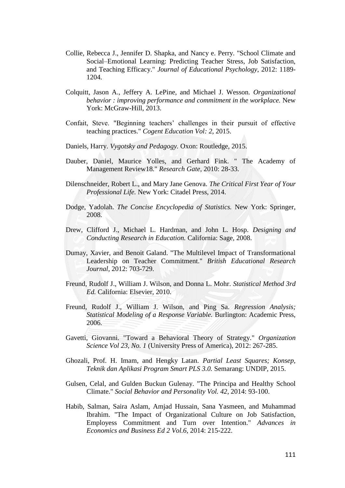- Collie, Rebecca J., Jennifer D. Shapka, and Nancy e. Perry. "School Climate and Social–Emotional Learning: Predicting Teacher Stress, Job Satisfaction, and Teaching Efficacy." *Journal of Educational Psychology*, 2012: 1189- 1204.
- Colquitt, Jason A., Jeffery A. LePine, and Michael J. Wesson. *Organizational behavior : improving performance and commitment in the workplace.* New York: McGraw-Hill, 2013.
- Confait, Steve. "Beginning teachers' challenges in their pursuit of effective teaching practices." *Cogent Education Vol: 2*, 2015.
- Daniels, Harry. *Vygotsky and Pedagogy.* Oxon: Routledge, 2015.
- Dauber, Daniel, Maurice Yolles, and Gerhard Fink. " The Academy of Management Review18." *Research Gate*, 2010: 28-33.
- Dilenschneider, Robert L., and Mary Jane Genova. *The Critical First Year of Your Professional Life.* New York: Citadel Press, 2014.
- Dodge, Yadolah. *The Concise Encyclopedia of Statistics.* New York: Springer, 2008.
- Drew, Clifford J., Michael L. Hardman, and John L. Hosp. *Designing and Conducting Research in Education.* California: Sage, 2008.
- Dumay, Xavier, and Benoit Galand. "The Multilevel Impact of Transformational Leadership on Teacher Commitment." *British Educational Research Journal*, 2012: 703-729.
- Freund, Rudolf J., William J. Wilson, and Donna L. Mohr. *Statistical Method 3rd Ed.* California: Elsevier, 2010.
- Freund, Rudolf J., William J. Wilson, and Ping Sa. *Regression Analysis; Statistical Modeling of a Response Variable.* Burlington: Academic Press, 2006.
- Gavetti, Giovanni. "Toward a Behavioral Theory of Strategy." *Organization Science Vol 23, No. 1* (University Press of America), 2012: 267-285.
- Ghozali, Prof. H. Imam, and Hengky Latan. *Partial Least Squares; Konsep, Teknik dan Aplikasi Program Smart PLS 3.0.* Semarang: UNDIP, 2015.
- Gulsen, Celal, and Gulden Buckun Gulenay. "The Principa and Healthy School Climate." *Social Behavior and Personality Vol. 42*, 2014: 93-100.
- Habib, Salman, Saira Aslam, Amjad Hussain, Sana Yasmeen, and Muhammad Ibrahim. "The Impact of Organizational Culture on Job Satisfaction, Employess Commitment and Turn over Intention." *Advances in Economics and Business Ed 2 Vol.6*, 2014: 215-222.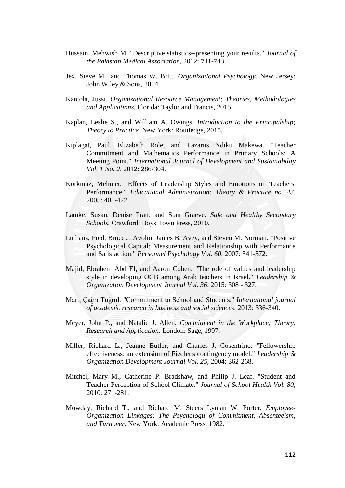- Hussain, Mehwish M. "Descriptive statistics--presenting your results." *Journal of the Pakistan Medical Association*, 2012: 741-743.
- Jex, Steve M., and Thomas W. Britt. *Organizational Psychology.* New Jersey: John Wiley & Sons, 2014.
- Kantola, Jussi. *Organizational Resource Management; Theories, Methodologies and Applications.* Florida: Taylor and Francis, 2015.
- Kaplan, Leslie S., and William A. Owings. *Introduction to the Principalship; Theory to Practice.* New York: Routledge, 2015.
- Kiplagat, Paul, Elizabeth Role, and Lazarus Ndiku Makewa. "Teacher Commitment and Mathematics Performance in Primary Schools: A Meeting Point." *International Journal of Development and Sustainability Vol. 1 No. 2*, 2012: 286-304.
- Korkmaz, Mehmet. "Effects of Leadership Styles and Emotions on Teachers' Performance." *Educational Administration: Theory & Practice no. 43*, 2005: 401-422.
- Lamke, Susan, Denise Pratt, and Stan Graeve. *Safe and Healthy Secondary Schools.* Crawford: Boys Town Press, 2010.
- Luthans, Fred, Bruce J. Avolio, James B. Avey, and Steven M. Norman. "Positive Psychological Capital: Measurement and Relationship with Performance and Satisfaction." *Personnel Psychology Vol. 60*, 2007: 541-572.
- Majid, Ebrahem Abd El, and Aaron Cohen. "The role of values and leadership style in developing OCB among Arab teachers in Israel." *Leadership & Organization Development Journal Vol. 36*, 2015: 308 - 327.
- Mart, Çağrı Tuğrul. "Commitment to School and Students." *International journal of academic research in business and social sciences*, 2013: 336-340.
- Meyer, John P., and Natalie J. Allen. *Commitment in the Workplace; Theory, Research and Application.* London: Sage, 1997.
- Miller, Richard L., Jeanne Butler, and Charles J. Cosentrino. "Fellowership effectiveness: an extension of Fiedler's contingency model." *Leadership & Organization Development Journal Vol. 25*, 2004: 362-268.
- Mitchel, Mary M., Catherine P. Bradshaw, and Philip J. Leaf. "Student and Teacher Perception of School Climate." *Journal of School Health Vol. 80*, 2010: 271-281.
- Mowday, Richard T., and Richard M. Steers Lyman W. Porter. *Employee-Organization Linkages; The Psychologu of Commitment, Absenteeism, and Turnover.* New York: Academic Press, 1982.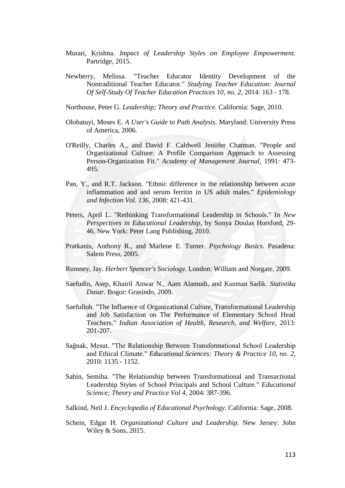- Murari, Krishna. *Impact of Leadership Styles on Employee Empowerment.* Partridge, 2015.
- Newberry, Melissa. "Teacher Educator Identity Development of the Nontraditional Teacher Educator." *Studying Teacher Education: Journal Of Self-Study Of Teacher Education Practices 10, no. 2*, 2014: 163 - 178.
- Northouse, Peter G. *Leadership; Theory and Practice.* California: Sage, 2010.
- Olobatuyi, Moses E. *A User's Guide to Path Analysis.* Maryland: University Press of America, 2006.
- O'Reilly, Charles A., and David F. Caldwell Jeniifer Chatman. "People and Organizational Culture: A Profile Comparison Approach to Assessing Person-Organization Fit." *Academy of Management Journal*, 1991: 473- 495.
- Pan, Y., and R.T. Jackson. "Ethnic difference in the relationship between acute inflammation and and serum ferritin in US adult males." *Epidemiology and Infection Vol. 136*, 2008: 421-431.
- Peters, April L. "Rethinking Transformational Leadership in Schools." In *New Perspectives in Educational Leadership*, by Sonya Doulas Horsford, 29- 46. New York: Peter Lang Publishing, 2010.
- Pratkanis, Anthony R., and Marlene E. Turner. *Psychology Basics.* Pasadena: Salem Press, 2005.
- Rumney, Jay. *Herbert Spencer's Sociology.* London: William and Norgate, 2009.
- Saefudin, Asep, Khairil Anwar N., Aam Alamudi, and Kusman Sadik. *Statistika Dasar.* Bogor: Grasindo, 2009.
- Saefulloh. "The Influence of Organizational Culture, Transformational Leadership and Job Satisfaction on The Performance of Elementary School Head Teachers." *Indian Association of Health, Research, and Welfare*, 2013: 201-207.
- Sağnak, Mesut. "The Relationship Between Transformational School Leadership and Ethical Climate." *Educational Sciences: Theory & Practice 10, no. 2*, 2010: 1135 - 1152.
- Sahin, Semiha. "The Relationship between Transformational and Transactional Leadership Styles of School Principals and School Culture." *Educational Science; Theory and Practice Vol 4*, 2004: 387-396.
- Salkind, Neil J. *Encyclopedia of Educational Psychology.* California: Sage, 2008.
- Schein, Edgar H. *Organizational Culture and Leadership.* New Jersey: John Wiley & Sons, 2015.